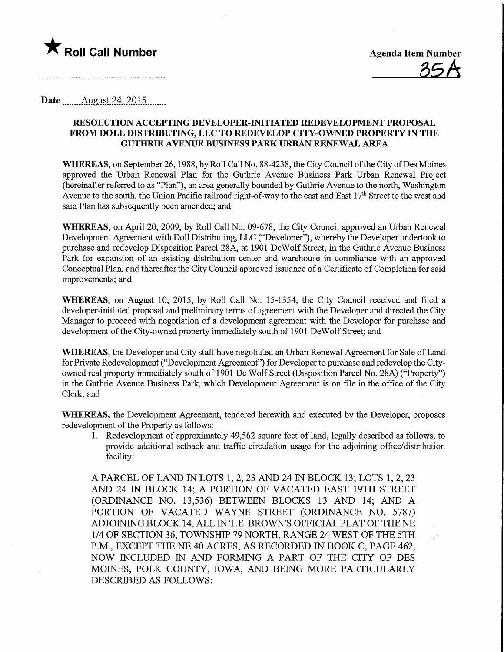

 $\mathbb{R}^4$ 

## Date ...\_....August.24,2015.

### RESOLUTION ACCEPTING DEVELOPER-INITIATED REDEVELOPMENT PROPOSAL FROM DOLL DISTRIBUTING, LLC TO REDEVELOP CITY-OWNED PROPERTY JN THE GUTHRIE AVENUE BUSINESS PARK URBAN RENEWAL AREA

WHEREAS, on September 26, 1988, by Roll Call No. 88-4238, the City Council of the City of Des Moines approved the Urban Renewal Plan for the Guthrie Avenue Business Park Urban Renewal Project (hereinafter referred to as "Plan"), an area generally bounded by Guthrie Avenue to the north, Washington Avenue to the south, the Union Pacific railroad right-of-way to the east and East 17<sup>th</sup> Street to the west and said Plan has subsequently been amended; and

WHEREAS, on April 20, 2009, by Roll Call No. 09-678, the City Council approved an Urban Renewal Development Agreement with Doll Distributing, LLC ("Developer"), whereby the Developer undertook to purchase and redevelop Disposition Parcel 28A, at 1901 DeWolf Street, in the Guthrie Avenue Business Park for expansion of an existing distribution center and warehouse in compliance with an approved Conceptual Plan, and thereafter the City Council approved issuance of a Certificate of Completion for said improvements; and

WHEREAS, on August 10, 2015, by Roll Call No. 15-1354, the City Council received and filed a developer-initiated proposal and preliminary terms of agreement with the Developer and directed the City Manager to proceed with negotiation of a development agreement with the Developer for purchase and development of the City-owned property immediately south of 1901 DeWolf Street; and

WHEREAS, the Developer and City staff have negotiated an Urban Renewal Agreement for Sale of Land for Private Redevelopment ("Development Agreement") for Developer to purchase and redevelop the Cityowned real property immediately south of 1901 De Wolf Street (Disposition Parcel No. 28A) ("Property") in the Guthrie Avenue Business Park, which Development Agreement is on file in the office of the City Clerk; and

WHEREAS, the Development Agreement, tendered herewith and executed by the Developer, proposes redevelopment of the Property as follows:

1. Redevelopment of approximately 49,562 square feet of land, legally described as follows, to provide additional setback and traffic circulation usage for the adjoining office/distribution facility:

A PARCEL OF LAND IN LOTS 1, 2, 23 AND 24 IN BLOCK 13; LOTS 1, 2, 23 AND 24 IN BLOCK 14; A PORTION OF VACATED EAST 19TH STREET (ORDINANCE NO. 13,536) BETWEEN BLOCKS 13 AND 14; AND A PORTION OF VACATED WAYNE STREET (ORDINANCE NO. 5787) ADJOINING BLOCK 14, ALL IN T.E. BROWN'S OFFICIAL PLAT OF THE NE 1/4 OF SECTION 36, TOWNSHIP 79 NORTH, RANGE 24 WEST OF THE 5TH P.M, EXCEPT THE NE 40 ACRES, AS RECORDED IN BOOK C, PAGE 462, NOW INCLUDED W AND FORMING A PART OF THE CITY OF DES MOINES, POLK COUNTY, IOWA, AND BEING MORE PARTICULARLY DESCRIBED AS FOLLOWS: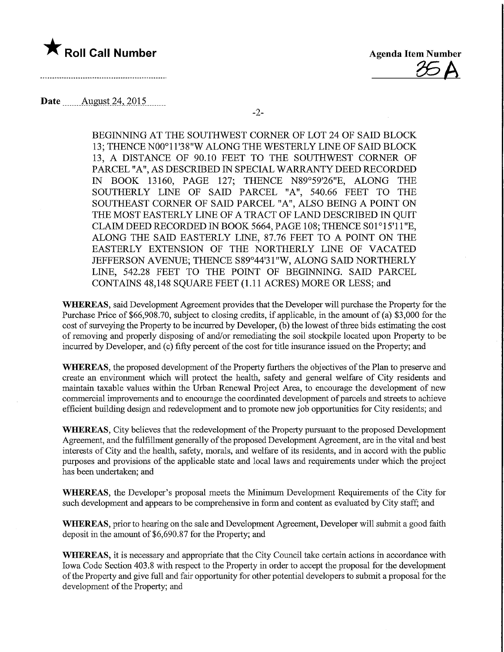

g6A

Date ........August.24,.2015.

-2-

BEGINNING AT THE SOUTHWEST CORNER OF LOT 24 OF SAID BLOCK 13; THENCE N00° 11'38"W ALONG THE WESTERLY LINE OF SAID BLOCK 13, A DISTANCE OF 90.10 FEET TO THE SOUTHWEST CORNER OF PARCEL "A", AS DESCRIBED IN SPECIAL WARRANTY DEED RECORDED IN BOOK 13160, PAGE 127; THENCE N89°59'26"E, ALONG THE SOUTHERLY LINE OF SAID PARCEL "A", 540.66 FEET TO THE SOUTHEAST CORNER OF SAID PARCEL "A", ALSO BEING A POINT ON THE MOST EASTERLY LINE OF A TRACT OF LAND DESCRIBED IN QUIT CLAIM DEED RECORDED IN BOOK 5664, PAGE 108; THENCE S01°15'11"E, ALONG THE SAID EASTERLY LINE, 87.76 FEET TO A POINT ON THE EASTERLY EXTENSION OF THE NORTHERLY LINE OF VACATED JEFFERSON AVENUE; THENCE S89°44'31"W, ALONG SAID NORTHERLY LINE, 542.28 FEET TO THE POINT OF BEGINNING. SAID PARCEL CONTAINS 48,148 SQUARE FEET (1.11 ACRES) MORE OR LESS; and

WHEREAS, said Development Agreement provides that the Developer will purchase the Property for the Purchase Price of \$66,908.70, subject to closing credits, if applicable, in the amount of (a) \$3,000 for the cost of surveying the Property to be incurred by Developer, (b) the lowest of three bids estimating the cost of removing and properly disposing of and/or remediatmg the soil stockpile located upon Property to be incurred by Developer, and (c) fifty percent of the cost for title insurance issued on the Property; and

WHEREAS, the proposed development of the Property furthers the objectives of the Plan to preserve and create an environment which will protect the health, safety and general welfare of City residents and maintain taxable values within the Urban Renewal Project Area, to encourage the development of new commercial improvements and to encourage the coordinated development of parcels and streets to achieve efficient building design and redevelopment and to promote new job opportunities for City residents; and

WHEREAS, City believes that the redevelopment of the Property pursuant to the proposed Development Agreement, and the fulfillment generally of the proposed Development Agreement, are in the vital and best interests of City and the health, safety, morals, and welfare of its residents, and in accord with the public purposes and provisions of the applicable state and local laws and requirements under which the project has been undertaken; and

WHEREAS, the Developer's proposal meets the Minimum Development Requirements of the City for such development and appears to be comprehensive in form and content as evaluated by City staff; and

WHEREAS, prior to hearing on the sale and Development Agreement, Developer will submit a good faith deposit m the amount of \$6,690.87 for the Property; and

WHEREAS, it is necessary and appropriate that the City Council take certain actions in accordance with Iowa Code Section 403.8 with respect to the Property in order to accept the proposal for the development of the Property and give fall and fair opportunity for other potential developers to submit a proposal for the development of the Property; and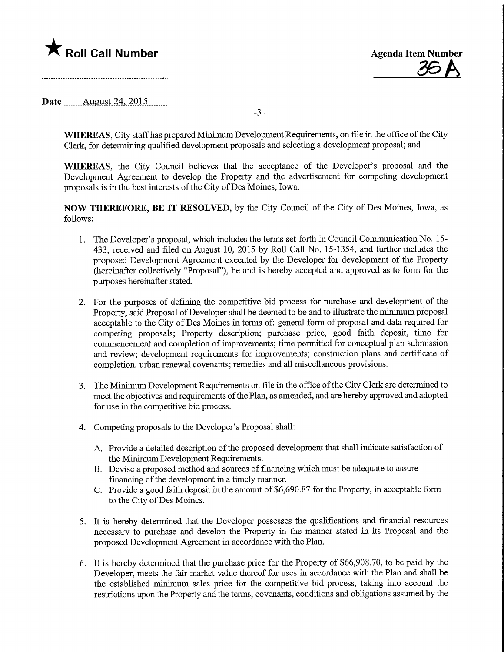

<u>36 A</u>

Date ........Augyst.24,.2015.

-3-

WHEREAS, City staff has prepared Minimum Development Requirements, on file in the office of the City Clerk, for determining qualified development proposals and selecting a development proposal; and

WHEREAS, the City Council believes that the acceptance of the Developer's proposal and the Development Agreement to develop the Property and the advertisement for competing development proposals is in the best interests of the City of Des Moines, Iowa.

NOW THEREFORE, BE IT RESOLVED, by the City Council of the City of Des Moines, Iowa, as follows:

- 1. The Developer's proposal, which includes the terms set forth in Council Communication No. 15- 433, received and filed on August 10, 2015 by Roll Call No. 15-1354, and further includes the proposed Development Agreement executed by the Developer for development of the Property (hereinafter collectively "Proposal"), be and is hereby accepted and approved as to fonn for the purposes hereinafter stated.
- 2. For the purposes of defining the competitive bid process for purchase and development of the Property, said Proposal of Developer shall be deemed to be and to illustrate the minimum proposal acceptable to the City of Des Moines in terms of: general form of proposal and data required for competing proposals; Property description; purchase price, good faith deposit, time for commencement and completion of improvements; time permitted for conceptual plan submission and review; development requirements for improvements; construction plans and certificate of completion; urban renewal covenants; remedies and all miscellaneous provisions.
- 3. The Minimum Development Requirements on file in the office of the City Clerk are determined to meet the objectives and requirements of the Plan, as amended, and are hereby approved and adopted for use in the competitive bid process.
- 4. Competing proposals to the Developer's Proposal shall:
	- A. Provide a detailed description of the proposed development that shall indicate satisfaction of the Minimum Development Requirements.
	- B. Devise a proposed method and sources of financing which must be adequate to assure financing of the development in a timely manner.
	- C. Provide a good faith deposit in the amount of \$6,690.87 for the Property, in acceptable form to the City of Des Moines.
- 5. It is hereby determined that the Developer possesses the qualifications and financial resources necessary to purchase and develop the Property in the manner stated in its Proposal and the proposed Development Agreement in accordance with the Plan.
- 6. It is hereby determined that the purchase price for the Property of \$66,908.70, to be paid by the Developer, meets the fair market value thereof for uses in accordance with the Plan and shall be the established minimum sales price for the competitive bid process, taking into account the restrictions upon the Property and the terms, covenants, conditions and obligations assumed by the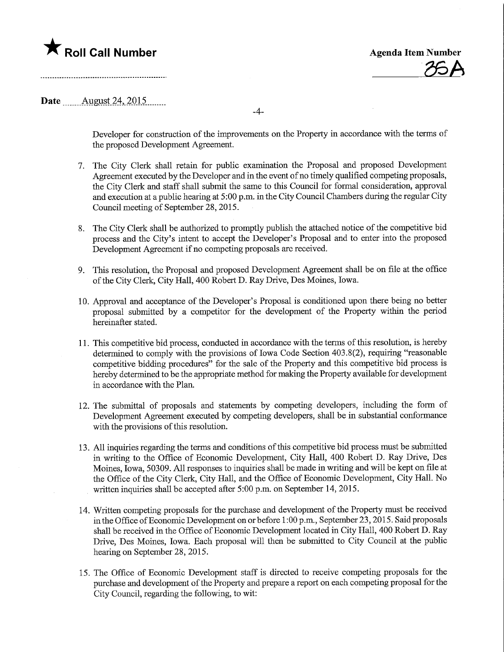# **The Roll Call Number Agents Container Agents Item Number**

26A

### Date .\_....\_\_Aygust.24,.2Q15.

-4-

Developer for construction of the improvements on the Property in accordance with the terms of the proposed Development Agreement.

- 7. The City Clerk shall retain for public examination the Proposal and proposed Development Agreement executed by the Developer and in the event of no timely qualified competing proposals, the City Clerk and staff shall submit the same to this Council for formal consideration, approval and execution at a public hearing at 5:00 p.m. in the City Council Chambers during the regular City Council meeting of September 28, 2015.
- 8. The City Clerk shall be authorized to promptly publish the attached notice of the competitive bid process and the City's intent to accept the Developer's Proposal and to enter into the proposed Development Agreement if no competing proposals are received.
- 9. This resolution, the Proposal and proposed Development Agreement shall be on file at the office of the City Clerk, City Hall, 400 Robert D. Ray Drive, Des Moines, Iowa.
- 10. Approval and acceptance of the Developer's Proposal is conditioned upon there being no better proposal submitted by a competitor for the development of the Property within the period hereinafter stated.
- 11. This competitive bid process, conducted m accordance with the terms of this resolution, is hereby determined to comply with the provisions of Iowa Code Section 403.8(2), requiring "reasonable competitive bidding procedures" for the sale of the Property and this competitive bid process is hereby determined to be the appropriate method for making the Property available for development in accordance with the Plan.
- 12. The submittal of proposals and statements by competmg developers, including the form of Development Agreement executed by competing developers, shall be in substantial conformance with the provisions of this resolution.
- 13. All inquiries regarding the terms and conditions of this competitive bid process must be submitted in writing to the Office of Economic Development, City Hall, 400 Robert D. Ray Drive, Des Moines, Iowa, 50309. All responses to inquiries shall be made in writing and will be kept on file at the Office of the City Clerk, City Hall, and the Office of Economic Development, City Hall. No written inquiries shall be accepted after 5:00 p.m. on September 14, 2015.
- 14. Written competing proposals for the purchase and development of the Property must be received inthe Office of Economic Development on or before 1:00 p.m., September 23,2015. Said proposals shall be received in the Office of Economic Development located in City Hall, 400 Robert D. Ray Drive, Des Moines, Iowa. Each proposal will then be submitted to City Council at the public hearing on September 28, 2015.
- 15. The Office of Economic Development staff is directed to receive competing proposals for the purchase and development of the Property and prepare a report on each competing proposal for the City Council, regarding the following, to wit: